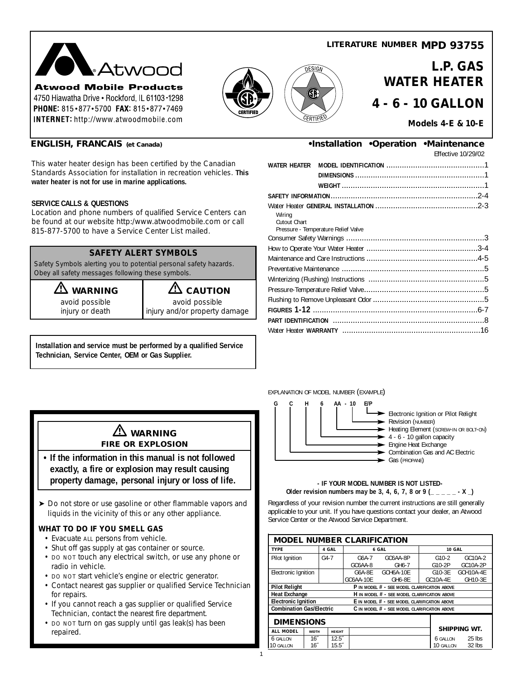### **LITERATURE NUMBER MPD 93755**



**Atwood Mobile Products** 4750 Hiawatha Drive . Rockford, IL 61103-1298 PHONE: 815 · 877 · 5700 FAX: 815 · 877 · 7469 **INTERNET:** http://www.atwoodmobile.com



**L.P. GAS WATER HEATER 4 - 6 - 10 GALLON**

### **Models 4-E & 10-E**

This water heater design has been certified by the Canadian Standards Association for installation in recreation vehicles. **This water heater is not for use in marine applications.**

#### **SERVICE CALLS & QUESTIONS**

Location and phone numbers of qualified Service Centers can be found at our website http:/www.atwoodmobile.com or call 815-877-5700 to have a Service Center List mailed.

### **SAFETY ALERT SYMBOLS**

Safety Symbols alerting you to potential personal safety hazards. Obey all safety messages following these symbols.

**WARNING**<br>avoid possible avoid possible<br>avoid possible

avoid possible<br>injury or death

injury and/or property damage

**Installation and service must be performed by a qualified Service Technician, Service Center, OEM or Gas Supplier.**

# **ENGLISH, FRANCAIS (et Canada) •Installation •Operation •Maintenance**

Effective 10/29/02

| WATER HEATER           |                                     |  |
|------------------------|-------------------------------------|--|
|                        |                                     |  |
|                        |                                     |  |
|                        |                                     |  |
| Wiring<br>Cutout Chart | Pressure - Temperature Relief Valve |  |
|                        |                                     |  |
|                        |                                     |  |
|                        |                                     |  |
|                        |                                     |  |
|                        |                                     |  |
|                        |                                     |  |
|                        |                                     |  |
|                        |                                     |  |
|                        |                                     |  |
|                        |                                     |  |
|                        |                                     |  |

#### EXPLANATION OF MODEL NUMBER (EXAMPLE)

1



#### **- IF YOUR MODEL NUMBER IS NOT LISTED-Older revision numbers may be 3, 4, 6, 7, 8 or 9 (\_ \_ \_ \_ \_ - X \_)**

Regardless of your revision number the current instructions are still generally applicable to your unit. If you have questions contact your dealer, an Atwood Service Center or the Atwood Service Department.

| <b>MODEL NUMBER CLARIFICATION</b>                                               |                 |               |                     |                       |  |                    |                      |
|---------------------------------------------------------------------------------|-----------------|---------------|---------------------|-----------------------|--|--------------------|----------------------|
| TYPE                                                                            |                 | 4 GAL         | 6 GAL               |                       |  | <b>10 GAL</b>      |                      |
| Pilot Ignition                                                                  |                 | $G4 - 7$      | $G6A-7$<br>GC6AA-8  | GC6AA-8P<br>GH6-7     |  | $G10-2$<br>G10-2P  | GC10A-2<br>GC10A-2P  |
| Electronic Ignition                                                             |                 |               | G6A-8F<br>GC6AA-10E | GCH6A-10E<br>$GH6-8F$ |  | G10-3E<br>GC10A-4E | GCH10A-4E<br>GH10-3E |
| <b>Pilot Relight</b><br>P IN MODEL # - SEE MODEL CLARIFICATION ABOVE            |                 |               |                     |                       |  |                    |                      |
| <b>Heat Exchange</b><br>H IN MODEL # - SEE MODEL CLARIFICATION ABOVE            |                 |               |                     |                       |  |                    |                      |
| <b>Electronic Ignition</b><br>E IN MODEL # - SEE MODEL CLARIFICATION ABOVE      |                 |               |                     |                       |  |                    |                      |
| <b>Combination Gas/Electric</b><br>C IN MODEL # - SEE MODEL CLARIFICATION ABOVE |                 |               |                     |                       |  |                    |                      |
| <b>DIMENSIONS</b>                                                               |                 |               |                     |                       |  |                    |                      |
| <b>ALL MODEL</b>                                                                | <b>WIDTH</b>    | <b>HEIGHT</b> |                     |                       |  |                    | <b>SHIPPING WT.</b>  |
| 6 GALLON                                                                        | 16 <sup>7</sup> | $12.5^{''}$   |                     |                       |  | 6 GALLON           | 25 lbs               |
| 10 GALLON                                                                       | 16 <sup>7</sup> | $15.5^{''}$   |                     |                       |  | 10 GALLON          | $32$ lbs             |

# **WARNING FIRE OR EXPLOSION**

- **If the information in this manual is not followed exactly, a fire or explosion may result causing property damage, personal injury or loss of life.**
- ▶ Do not store or use gasoline or other flammable vapors and liquids in the vicinity of this or any other appliance.

# **WHAT TO DO IF YOU SMELL GAS**

- Evacuate ALL persons from vehicle.
- Shut off gas supply at gas container or source.
- DO NOT touch any electrical switch, or use any phone or radio in vehicle.
- DO NOT start vehicle's engine or electric generator.
- Contact nearest gas supplier or qualified Service Technician for repairs.
- If you cannot reach a gas supplier or qualified Service Technician, contact the nearest fire department.
- DO NOT turn on gas supply until gas leak(s) has been repaired.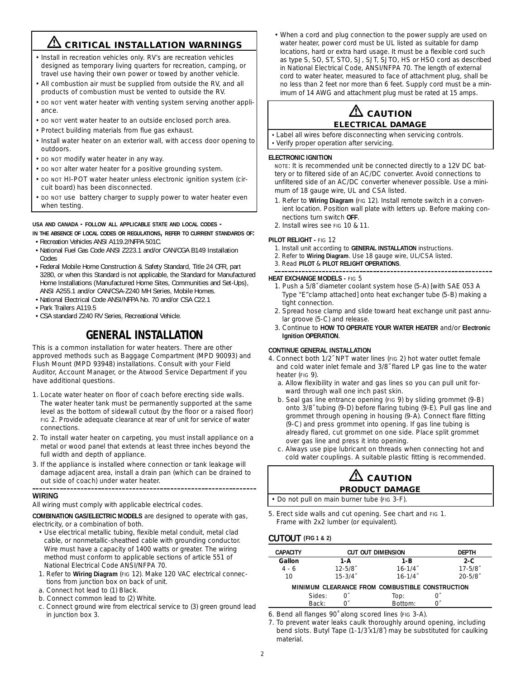# **EX CRITICAL INSTALLATION WARNINGS**

- Install in recreation vehicles only. RV's are recreation vehicles designed as temporary living quarters for recreation, camping, or travel use having their own power or towed by another vehicle.
- All combustion air must be supplied from outside the RV, and all products of combustion must be vented to outside the RV.
- DO NOT vent water heater with venting system serving another appliance.
- DO NOT vent water heater to an outside enclosed porch area.
- Protect building materials from flue gas exhaust.
- Install water heater on an exterior wall, with access door opening to outdoors.
- DO NOT modify water heater in any way.
- DO NOT alter water heater for a positive grounding system.
- DO NOT HI-POT water heater unless electronic ignition system (circuit board) has been disconnected.
- DO NOT use battery charger to supply power to water heater even when testing.

#### **USA AND CANADA - FOLLOW ALL APPLICABLE STATE AND LOCAL CODES -**

**IN THE ABSENCE OF LOCAL CODES OR REGULATIONS, REFER TO CURRENT STANDARDS OF:**

- Recreation Vehicles ANSI A119.2/NFPA 501C.
- National Fuel Gas Code ANSI Z223.1 and/or CAN/CGA B149 Installation Codes
- Federal Mobile Home Construction & Safety Standard, Title 24 CFR, part 3280, or when this Standard is not applicable, the Standard for Manufactured Home Installations (Manufactured Home Sites, Communities and Set-Ups), ANSI A255.1 and/or CAN/CSA-Z240 MH Series, Mobile Homes.
- National Electrical Code ANSI/NFPA No. 70 and/or CSA C22.1
- Park Trailers A119.5
- CSA standard Z240 RV Series, Recreational Vehicle.

# **GENERAL INSTALLATION**

This is a common installation for water heaters. There are other approved methods such as Baggage Compartment (MPD 90093) and Flush Mount (MPD 93948) installations. Consult with your Field Auditor, Account Manager, or the Atwood Service Department if you have additional questions.

- 1. Locate water heater on floor of coach before erecting side walls. The water heater tank must be permanently supported at the same level as the bottom of sidewall cutout (by the floor or a raised floor) FIG 2. Provide adequate clearance at rear of unit for service of water connections.
- 2. To install water heater on carpeting, you must install appliance on a metal or wood panel that extends at least three inches beyond the full width and depth of appliance.
- 3. If the appliance is installed where connection or tank leakage will damage adjacent area, install a drain pan (which can be drained to out side of coach) under water heater.

#### **WIRING**

All wiring must comply with applicable electrical codes.

**COMBINATION GAS/ELECTRIC MODELS** are designed to operate with gas, electricity, or a combination of both.

- Use electrical metallic tubing, flexible metal conduit, metal clad cable, or nonmetallic-sheathed cable with grounding conductor. Wire must have a capacity of 1400 watts or greater. The wiring method must conform to applicable sections of article 551 of National Electrical Code ANSI/NFPA 70.
- 1. Refer to **Wiring Diagram** (FIG 12). Make 120 VAC electrical connections from junction box on back of unit.
- a. Connect hot lead to (1) Black.
- b. Connect common lead to (2) White.
- c. Connect ground wire from electrical service to (3) green ground lead in junction box 3.

• When a cord and plug connection to the power supply are used on water heater, power cord must be UL listed as suitable for damp locations, hard or extra hard usage. It must be a flexible cord such as type S, SO, ST, STO, SJ, SJT, SJTO, HS or HSO cord as described in National Electrical Code, ANSI/NFPA 70. The length of external cord to water heater, measured to face of attachment plug, shall be no less than 2 feet nor more than 6 feet. Supply cord must be a minimum of 14 AWG and attachment plug must be rated at 15 amps.

# $\mathbf{\Omega}$  caution **ELECTRICAL DAMAGE**

- Label all wires before disconnecting when servicing controls.
- Verify proper operation after servicing.

#### **ELECTRONIC IGNITION**

NOTE: It is recommended unit be connected directly to a 12V DC battery or to filtered side of an AC/DC converter. Avoid connections to unfiltered side of an AC/DC converter whenever possible. Use a minimum of 18 gauge wire, UL and CSA listed.

- 1. Refer to **Wiring Diagram** (FIG 12). Install remote switch in a convenient location. Position wall plate with letters up. Before making connections turn switch **OFF**.
- 2. Install wires see FIG 10 & 11.

#### **PILOT RELIGHT -** FIG 12

- 1. Install unit according to **GENERAL INSTALLATION** instructions.
- 2. Refer to **Wiring Diagram**. Use 18 gauge wire, UL/CSA listed.
- 3. Read **PILOT** & **PILOT RELIGHT OPERATIONS**.

#### **HEAT EXCHANGE MODELS -** FIG 5

- 1. Push a 5/8˝ diameter coolant system hose (5-A) [with SAE 053 A Type "E"clamp attached] onto heat exchanger tube (5-B) making a tight connection.
- 2. Spread hose clamp and slide toward heat exchange unit past annular groove (5-C) and release.
- 3. Continue to **HOW TO OPERATE YOUR WATER HEATER** and/or **Electronic Ignition OPERATION**.

#### **CONTINUE GENERAL INSTALLATION**

4. Connect both 1/2˝ NPT water lines (FIG 2) hot water outlet female and cold water inlet female and 3/8˝ flared LP gas line to the water heater (FIG 9).

- a. Allow flexibility in water and gas lines so you can pull unit forward through wall one inch past skin.
- b. Seal gas line entrance opening (FIG 9) by sliding grommet (9-B) onto 3/8˝ tubing (9-D) before flaring tubing (9-E). Pull gas line and grommet through opening in housing (9-A). Connect flare fitting (9-C) and press grommet into opening. If gas line tubing is already flared, cut grommet on one side. Place split grommet over gas line and press it into opening.
- c. Always use pipe lubricant on threads when connecting hot and cold water couplings. A suitable plastic fitting is recommended.

# **CAUTION PRODUCT DAMAGE**

• Do not pull on main burner tube (FIG 3-F).

5. Erect side walls and cut opening. See chart and FIG 1. Frame with 2x2 lumber (or equivalent).

#### **CUTOUT (FIG 1 & 2)**

| <b>CAPACITY</b> |        | CUT OUT DIMENSION       |  |                                                 |  | <b>DEPTH</b> |
|-----------------|--------|-------------------------|--|-------------------------------------------------|--|--------------|
| Gallon          |        | 1-A                     |  | 1-B                                             |  | $2-C$        |
| $4 - 6$         |        | $12 - 5/8$              |  | $16 - 1/4$ <sup>*</sup>                         |  | $17 - 5/8$   |
| 10              |        | $15 - 3/4$ <sup>*</sup> |  | $16 - 1/4$ <sup>*</sup>                         |  | $20 - 5/8$   |
|                 |        |                         |  | MINIMUM CLEARANCE FROM COMBUSTIBLE CONSTRUCTION |  |              |
|                 | Sides: |                         |  | Top:                                            |  |              |
|                 | Back:  |                         |  | Bottom:                                         |  |              |

6. Bend all flanges 90˚ along scored lines (FIG 3-A).

7. To prevent water leaks caulk thoroughly around opening, including bend slots. Butyl Tape (1-1/3˝x1/8˝) may be substituted for caulking material.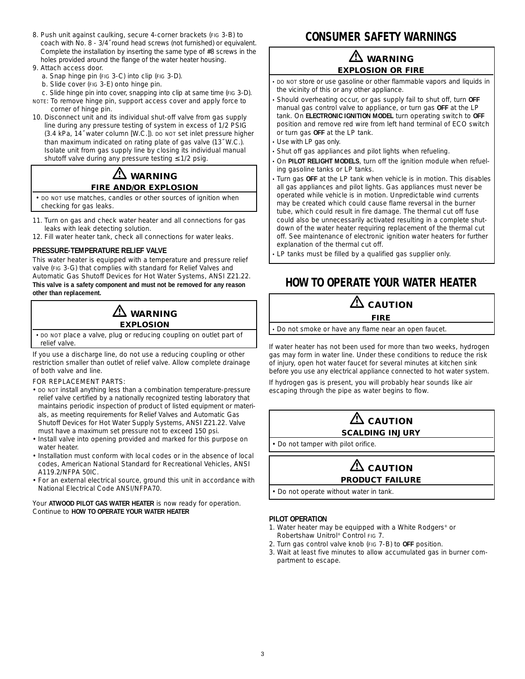- 8. Push unit against caulking, secure 4-corner brackets (FIG 3-B) to coach with No. 8 - 3/4˝ round head screws (not furnished) or equivalent. Complete the installation by inserting the same type of #8 screws in the holes provided around the flange of the water heater housing.
- 9. Attach access door.
	- a. Snap hinge pin (FIG 3-C) into clip (FIG 3-D).
	- b. Slide cover (FIG 3-E) onto hinge pin.
	- c. Slide hinge pin into cover, snapping into clip at same time (FIG 3-D).
- NOTE: To remove hinge pin, support access cover and apply force to corner of hinge pin.
- 10. Disconnect unit and its individual shut-off valve from gas supply line during any pressure testing of system in excess of 1/2 PSIG (3.4 kPa, 14˝ water column [W.C.]). DO NOT set inlet pressure higher than maximum indicated on rating plate of gas valve (13˝ W.C.). Isolate unit from gas supply line by closing its individual manual shutoff valve during any pressure testing ≤ 1/2 psig.

# **WARNING FIRE AND/OR EXPLOSION**

• DO NOT use matches, candles or other sources of ignition when checking for gas leaks.

- 11. Turn on gas and check water heater and all connections for gas leaks with leak detecting solution.
- 12. Fill water heater tank, check all connections for water leaks.

#### **PRESSURE-TEMPERATURE RELIEF VALVE**

This water heater is equipped with a temperature and pressure relief valve (FIG 3-G) that complies with standard for Relief Valves and Automatic Gas Shutoff Devices for Hot Water Systems, ANSI Z21.22. **This valve is a safety component and must not be removed for any reason other than replacement.**



• DO NOT place a valve, plug or reducing coupling on outlet part of relief valve.

If you use a discharge line, do not use a reducing coupling or other restriction smaller than outlet of relief valve. Allow complete drainage of both valve and line.

FOR REPLACEMENT PARTS:

- DO NOT install anything less than a combination temperature-pressure relief valve certified by a nationally recognized testing laboratory that maintains periodic inspection of product of listed equipment or materials, as meeting requirements for Relief Valves and Automatic Gas Shutoff Devices for Hot Water Supply Systems, ANSI Z21.22. Valve must have a maximum set pressure not to exceed 150 psi.
- Install valve into opening provided and marked for this purpose on water heater.
- Installation must conform with local codes or in the absence of local codes, American National Standard for Recreational Vehicles, ANSI A119.2/NFPA 50IC.
- For an external electrical source, ground this unit in accordance with National Electrical Code ANSI/NFPA70.

Your **ATWOOD PILOT GAS WATER HEATER** is now ready for operation. Continue to **HOW TO OPERATE YOUR WATER HEATER**

# **CONSUMER SAFETY WARNINGS**

# **WARNING EXPLOSION OR FIRE**

• DO NOT store or use gasoline or other flammable vapors and liquids in the vicinity of this or any other appliance.

- Should overheating occur, or gas supply fail to shut off, turn **OFF** manual gas control valve to appliance, or turn gas **OFF** at the LP tank. On **ELECTRONIC IGNITION MODEL** turn operating switch to **OFF** position and remove red wire from left hand terminal of ECO switch or turn gas **OFF** at the LP tank.
- Use with LP gas only.
- Shut off gas appliances and pilot lights when refueling.
- On **PILOT RELIGHT MODELS**, turn off the ignition module when refueling gasoline tanks or LP tanks.
- Turn gas **OFF** at the LP tank when vehicle is in motion. This disables all gas appliances and pilot lights. Gas appliances must never be operated while vehicle is in motion. Unpredictable wind currents may be created which could cause flame reversal in the burner tube, which could result in fire damage. The thermal cut off fuse could also be unnecessarily activated resulting in a complete shutdown of the water heater requiring replacement of the thermal cut off. See maintenance of electronic ignition water heaters for further explanation of the thermal cut off.
- LP tanks must be filled by a qualified gas supplier only.

# **HOW TO OPERATE YOUR WATER HEATER**

# $\Delta$  caution

#### **FIRE**

• Do not smoke or have any flame near an open faucet.

If water heater has not been used for more than two weeks, hydrogen gas may form in water line. Under these conditions to reduce the risk of injury, open hot water faucet for several minutes at kitchen sink before you use any electrical appliance connected to hot water system.

If hydrogen gas is present, you will probably hear sounds like air escaping through the pipe as water begins to flow.

# $\Delta$  caution **SCALDING INJURY**

• Do not tamper with pilot orifice.



• Do not operate without water in tank.

#### **PILOT OPERATION**

- 1. Water heater may be equipped with a White Rodgers® or Robertshaw Unitrol® Control FIG 7.
- 2. Turn gas control valve knob (FIG 7-B) to **OFF** position.
- 3. Wait at least five minutes to allow accumulated gas in burner compartment to escape.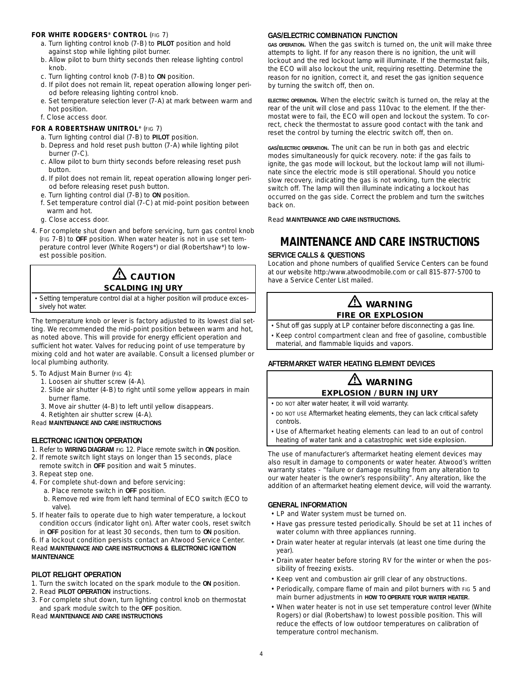#### **FOR WHITE RODGERS® CONTROL** (FIG 7)

- a. Turn lighting control knob (7-B) to **PILOT** position and hold against stop while lighting pilot burner.
- b. Allow pilot to burn thirty seconds then release lighting control knob.
- c. Turn lighting control knob (7-B) to **ON** position.
- d. If pilot does not remain lit, repeat operation allowing longer period before releasing lighting control knob.
- e. Set temperature selection lever (7-A) at mark between warm and hot position.
- f. Close access door.

#### **FOR A ROBERTSHAW UNITROL®** (FIG 7)

- a. Turn lighting control dial (7-B) to **PILOT** position.
- b. Depress and hold reset push button (7-A) while lighting pilot burner (7-C).
- c. Allow pilot to burn thirty seconds before releasing reset push button.
- d. If pilot does not remain lit, repeat operation allowing longer period before releasing reset push button.
- e. Turn lighting control dial (7-B) to **ON** position.
- f. Set temperature control dial (7-C) at mid-point position between warm and hot.
- g. Close access door.
- 4. For complete shut down and before servicing, turn gas control knob (FIG 7-B) to **OFF** position. When water heater is not in use set temperature control lever (White Rogers**®**) or dial (Robertshaw**®**) to lowest possible position.

# $\mathbf{\mathfrak{\Omega}}$  caution **SCALDING INJURY**

• Setting temperature control dial at a higher position will produce excessively hot water.

The temperature knob or lever is factory adjusted to its lowest dial setting. We recommended the mid-point position between warm and hot, as noted above. This will provide for energy efficient operation and sufficient hot water. Valves for reducing point of use temperature by mixing cold and hot water are available. Consult a licensed plumber or local plumbing authority.

- 5. To Adjust Main Burner (FIG 4):
	- 1. Loosen air shutter screw (4-A).
	- 2. Slide air shutter (4-B) to right until some yellow appears in main burner flame.
	- 3. Move air shutter (4-B) to left until yellow disappears.
	- 4. Retighten air shutter screw (4-A).

Read **MAINTENANCE AND CARE INSTRUCTIONS**

#### **ELECTRONIC IGNITION OPERATION**

- 1. Refer to **WIRING DIAGRAM** FIG 12. Place remote switch in **ON** position.
- 2. If remote switch light stays on longer than 15 seconds, place
- remote switch in **OFF** position and wait 5 minutes.
- 3. Repeat step one.
- 4. For complete shut-down and before servicing:
	- a. Place remote switch in **OFF** position. b. Remove red wire from left hand terminal of ECO switch (ECO to
	- valve).
- 5. If heater fails to operate due to high water temperature, a lockout condition occurs (indicator light on). After water cools, reset switch in **OFF** position for at least 30 seconds, then turn to **ON** position.

#### 6. If a lockout condition persists contact an Atwood Service Center. Read **MAINTENANCE AND CARE INSTRUCTIONS & ELECTRONIC IGNITION MAINTENANCE**

#### **PILOT RELIGHT OPERATION**

1. Turn the switch located on the spark module to the **ON** position.

- 2. Read **PILOT OPERATION** instructions.
- 3. For complete shut down, turn lighting control knob on thermostat and spark module switch to the **OFF** position.

Read **MAINTENANCE AND CARE INSTRUCTIONS**

#### **GAS/ELECTRIC COMBINATION FUNCTION**

**GAS OPERATION.** When the gas switch is turned on, the unit will make three attempts to light. If for any reason there is no ignition, the unit will lockout and the red lockout lamp will illuminate. If the thermostat fails, the ECO will also lockout the unit, requiring resetting. Determine the reason for no ignition, correct it, and reset the gas ignition sequence by turning the switch off, then on.

**ELECTRIC OPERATION.** When the electric switch is turned on, the relay at the rear of the unit will close and pass 110vac to the element. If the thermostat were to fail, the ECO will open and lockout the system. To correct, check the thermostat to assure good contact with the tank and reset the control by turning the electric switch off, then on.

**GAS/ELECTRIC OPERATION.** The unit can be run in both gas and electric modes simultaneously for quick recovery. note: if the gas fails to ignite, the gas mode will lockout, but the lockout lamp will not illuminate since the electric mode is still operational. Should you notice slow recovery, indicating the gas is not working, turn the electric switch off. The lamp will then illuminate indicating a lockout has occurred on the gas side. Correct the problem and turn the switches back on.

Read **MAINTENANCE AND CARE INSTRUCTIONS.**

# **MAINTENANCE AND CARE INSTRUCTIONS**

#### **SERVICE CALLS & QUESTIONS**

Location and phone numbers of qualified Service Centers can be found at our website http:/www.atwoodmobile.com or call 815-877-5700 to have a Service Center List mailed.

# **WARNING FIRE OR EXPLOSION**

- Shut off gas supply at LP container before disconnecting a gas line.
- Keep control compartment clean and free of gasoline, combustible material, and flammable liquids and vapors.
- 

### **AFTERMARKET WATER HEATING ELEMENT DEVICES**

### **WARNING EXPLOSION / BURN INJURY**

- DO NOT alter water heater, it will void warranty.
- DO NOT USE Aftermarket heating elements, they can lack critical safety controls.
- Use of Aftermarket heating elements can lead to an out of control heating of water tank and a catastrophic wet side explosion.

The use of manufacturer's aftermarket heating element devices may also result in damage to components or water heater. Atwood's written warranty states - "failure or damage resulting from any alteration to our water heater is the owner's responsibility". Any alteration, like the addition of an aftermarket heating element device, will void the warranty.

#### **GENERAL INFORMATION**

- LP and Water system must be turned on.
- Have gas pressure tested periodically. Should be set at 11 inches of water column with three appliances running.
- Drain water heater at regular intervals (at least one time during the year).
- Drain water heater before storing RV for the winter or when the possibility of freezing exists.
- Keep vent and combustion air grill clear of any obstructions.
- Periodically, compare flame of main and pilot burners with FIG 5 and main burner adjustments in **HOW TO OPERATE YOUR WATER HEATER**.
- When water heater is not in use set temperature control lever (White Rogers) or dial (Robertshaw) to lowest possible position. This will reduce the effects of low outdoor temperatures on calibration of temperature control mechanism.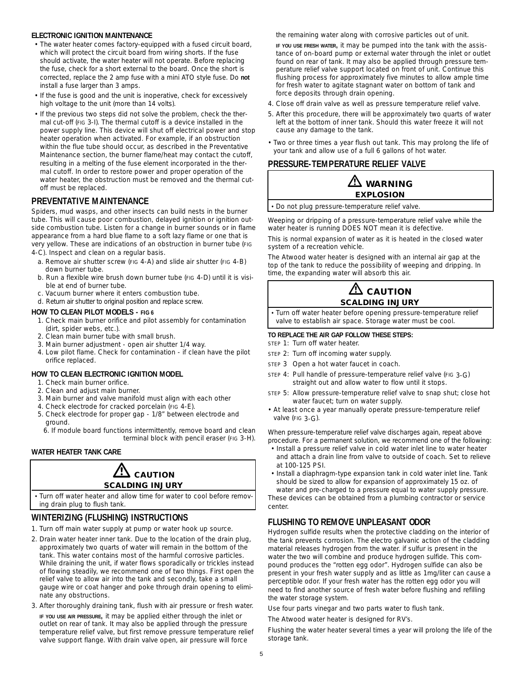#### **ELECTRONIC IGNITION MAINTENANCE**

- The water heater comes factory-equipped with a fused circuit board, which will protect the circuit board from wiring shorts. If the fuse should activate, the water heater will not operate. Before replacing the fuse, check for a short external to the board. Once the short is corrected, replace the 2 amp fuse with a mini ATO style fuse. Do **not** install a fuse larger than 3 amps.
- If the fuse is good and the unit is inoperative, check for excessively high voltage to the unit (more than 14 volts).
- If the previous two steps did not solve the problem, check the thermal cut-off (FIG 3-I). The thermal cutoff is a device installed in the power supply line. This device will shut off electrical power and stop heater operation when activated. For example, if an obstruction within the flue tube should occur, as described in the Preventative Maintenance section, the burner flame/heat may contact the cutoff, resulting in a melting of the fuse element incorporated in the thermal cutoff. In order to restore power and proper operation of the water heater, the obstruction must be removed and the thermal cutoff must be replaced.

# **PREVENTATIVE MAINTENANCE**

Spiders, mud wasps, and other insects can build nests in the burner tube. This will cause poor combustion, delayed ignition or ignition outside combustion tube. Listen for a change in burner sounds or in flame appearance from a hard blue flame to a soft lazy flame or one that is very yellow. These are indications of an obstruction in burner tube (FIG 4-C). Inspect and clean on a regular basis.

- a. Remove air shutter screw (FIG 4-A) and slide air shutter (FIG 4-B) down burner tube.
- b. Run a flexible wire brush down burner tube (FIG 4-D) until it is visible at end of burner tube.
- c. Vacuum burner where it enters combustion tube.
- d. Return air shutter to original position and replace screw.

#### **HOW TO CLEAN PILOT MODELS - FIG 6**

- 1. Check main burner orifice and pilot assembly for contamination (dirt, spider webs, etc.).
- 2. Clean main burner tube with small brush.
- 3. Main burner adjustment open air shutter 1/4 way.
- 4. Low pilot flame. Check for contamination if clean have the pilot orifice replaced.

# **HOW TO CLEAN ELECTRONIC IGNITION MODEL**

- 1. Check main burner orifice.
- 2. Clean and adjust main burner.
- 3. Main burner and valve manifold must align with each other
- 4. Check electrode for cracked porcelain (FIG 4-E).
- 5. Check electrode for proper gap 1/8" between electrode and ground.

6. If module board functions intermittently, remove board and clean terminal block with pencil eraser (FIG 3-H).

### **WATER HEATER TANK CARE**



• Turn off water heater and allow time for water to cool before removing drain plug to flush tank.

# **WINTERIZING (FLUSHING) INSTRUCTIONS**

- 1. Turn off main water supply at pump or water hook up source.
- 2. Drain water heater inner tank. Due to the location of the drain plug, approximately two quarts of water will remain in the bottom of the tank. This water contains most of the harmful corrosive particles. While draining the unit, if water flows sporadically or trickles instead of flowing steadily, we recommend one of two things. First open the relief valve to allow air into the tank and secondly, take a small gauge wire or coat hanger and poke through drain opening to eliminate any obstructions.
- 3. After thoroughly draining tank, flush with air pressure or fresh water.
- **IF YOU USE AIR PRESSURE,** it may be applied either through the inlet or outlet on rear of tank. It may also be applied through the pressure temperature relief valve, but first remove pressure temperature relief valve support flange. With drain valve open, air pressure will force

the remaining water along with corrosive particles out of unit.

**IF YOU USE FRESH WATER,** it may be pumped into the tank with the assistance of on-board pump or external water through the inlet or outlet found on rear of tank. It may also be applied through pressure temperature relief valve support located on front of unit. Continue this flushing process for approximately five minutes to allow ample time for fresh water to agitate stagnant water on bottom of tank and force deposits through drain opening.

- 4. Close off drain valve as well as pressure temperature relief valve.
- 5. After this procedure, there will be approximately two quarts of water left at the bottom of inner tank. Should this water freeze it will not cause any damage to the tank.
- Two or three times a year flush out tank. This may prolong the life of your tank and allow use of a full 6 gallons of hot water.

### **PRESSURE-TEMPERATURE RELIEF VALVE**



• Do not plug pressure-temperature relief valve.

Weeping or dripping of a pressure-temperature relief valve while the water heater is running DOES NOT mean it is defective.

This is normal expansion of water as it is heated in the closed water system of a recreation vehicle.

The Atwood water heater is designed with an internal air gap at the top of the tank to reduce the possibility of weeping and dripping. In time, the expanding water will absorb this air.

# **ALCAUTION SCALDING INJURY**

• Turn off water heater before opening pressure-temperature relief valve to establish air space. Storage water must be cool.

#### **TO REPLACE THE AIR GAP FOLLOW THESE STEPS:**

- STEP 1: Turn off water heater.
- STEP 2: Turn off incoming water supply.
- STEP 3 Open a hot water faucet in coach.
- STEP 4: Pull handle of pressure-temperature relief valve (FIG 3-G) straight out and allow water to flow until it stops.
- STEP 5: Allow pressure-temperature relief valve to snap shut; close hot water faucet; turn on water supply.
- At least once a year manually operate pressure-temperature relief valve (FIG 3-G).

When pressure-temperature relief valve discharges again, repeat above procedure. For a permanent solution, we recommend one of the following:

- Install a pressure relief valve in cold water inlet line to water heater and attach a drain line from valve to outside of coach. Set to relieve at 100-125 PSI.
- Install a diaphragm-type expansion tank in cold water inlet line. Tank should be sized to allow for expansion of approximately 15 oz. of

water and pre-charged to a pressure equal to water supply pressure. These devices can be obtained from a plumbing contractor or service center.

# **FLUSHING TO REMOVE UNPLEASANT ODOR**

Hydrogen sulfide results when the protective cladding on the interior of the tank prevents corrosion. The electro galvanic action of the cladding material releases hydrogen from the water. if sulfur is present in the water the two will combine and produce hydrogen sulfide. This compound produces the "rotten egg odor". Hydrogen sulfide can also be present in your fresh water supply and as little as 1mg/liter can cause a perceptible odor. If your fresh water has the rotten egg odor you will need to find another source of fresh water before flushing and refilling the water storage system.

Use four parts vinegar and two parts water to flush tank.

The Atwood water heater is designed for RV's.

Flushing the water heater several times a year will prolong the life of the storage tank.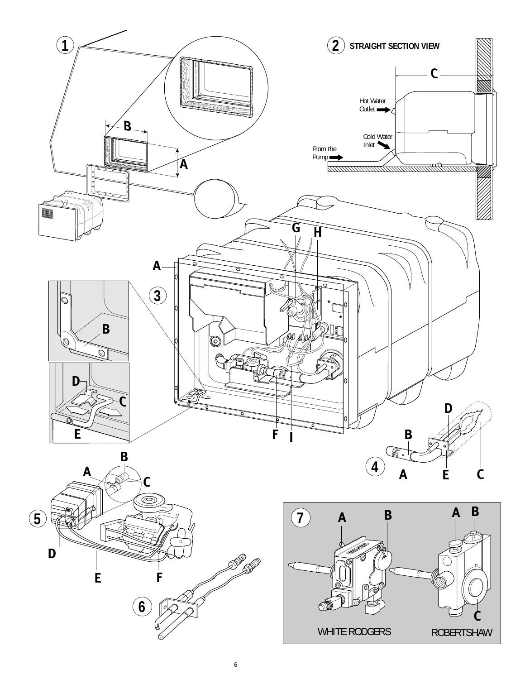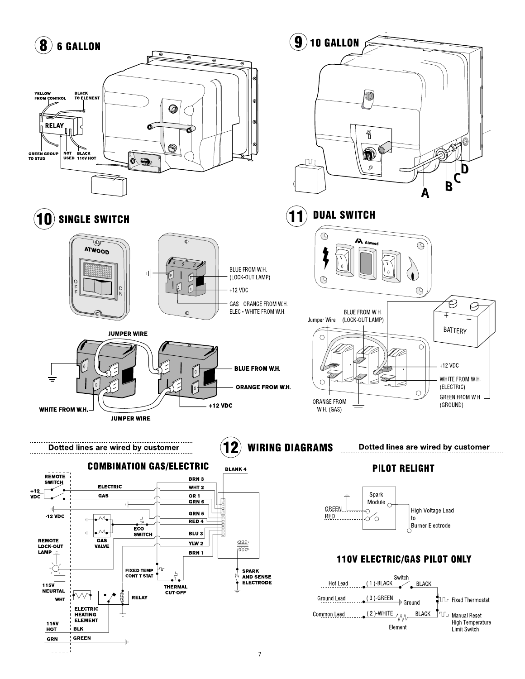